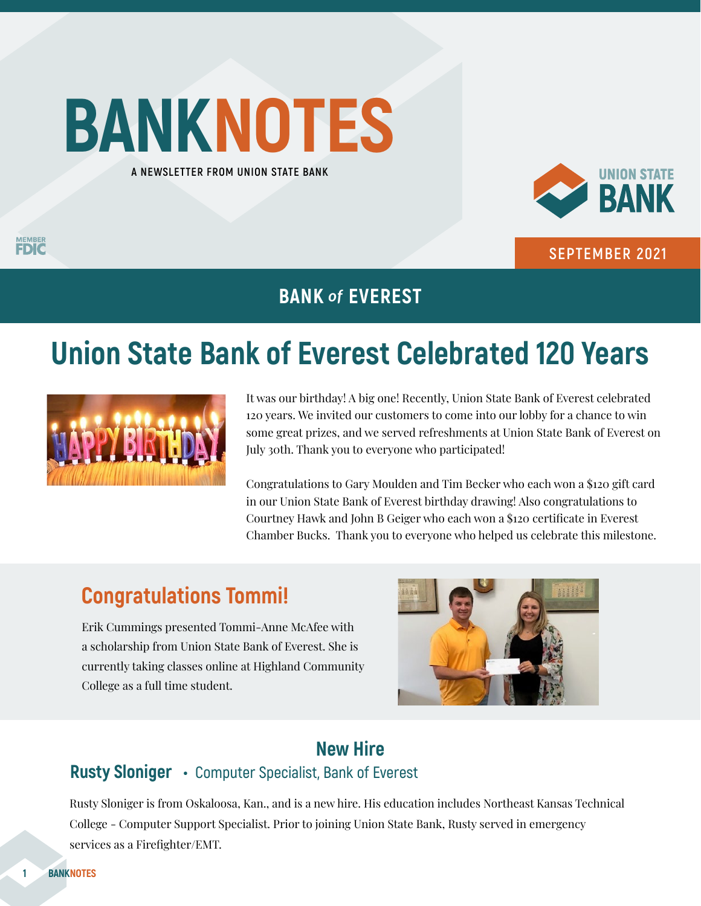# **BANKNOTES A NEWSLETTER FROM UNION STATE BANK**

**MEMBER** 



**SEPTEMBER 2021**

### **BANK** *of* **EVEREST**

## **Union State Bank of Everest Celebrated 120 Years**



It was our birthday! A big one! Recently, Union State Bank of Everest celebrated 120 years. We invited our customers to come into our lobby for a chance to win some great prizes, and we served refreshments at Union State Bank of Everest on July 30th. Thank you to everyone who participated!

Congratulations to Gary Moulden and Tim Becker who each won a \$120 gift card in our Union State Bank of Everest birthday drawing! Also congratulations to Courtney Hawk and John B Geiger who each won a \$120 certificate in Everest Chamber Bucks. Thank you to everyone who helped us celebrate this milestone.

### **Congratulations Tommi!**

Erik Cummings presented Tommi-Anne McAfee with a scholarship from Union State Bank of Everest. She is currently taking classes online at Highland Community College as a full time student.



### **New Hire**

#### **Rusty Sloniger • Computer Specialist, Bank of Everest**

Rusty Sloniger is from Oskaloosa, Kan., and is a new hire. His education includes Northeast Kansas Technical College - Computer Support Specialist. Prior to joining Union State Bank, Rusty served in emergency services as a Firefighter/EMT.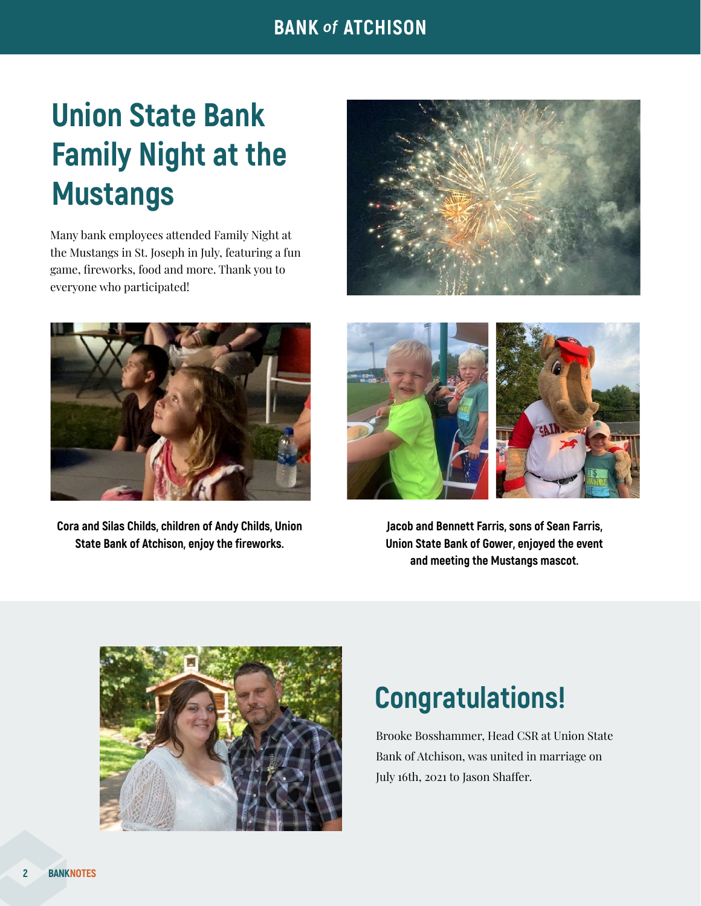### **BANK** *of* **ATCHISON**

## **Union State Bank Family Night at the Mustangs**

Many bank employees attended Family Night at the Mustangs in St. Joseph in July, featuring a fun game, fireworks, food and more. Thank you to everyone who participated!





**Cora and Silas Childs, children of Andy Childs, Union State Bank of Atchison, enjoy the fireworks.**



**Jacob and Bennett Farris, sons of Sean Farris, Union State Bank of Gower, enjoyed the event and meeting the Mustangs mascot.**



## **Congratulations!**

Brooke Bosshammer, Head CSR at Union State Bank of Atchison, was united in marriage on July 16th, 2021 to Jason Shaffer.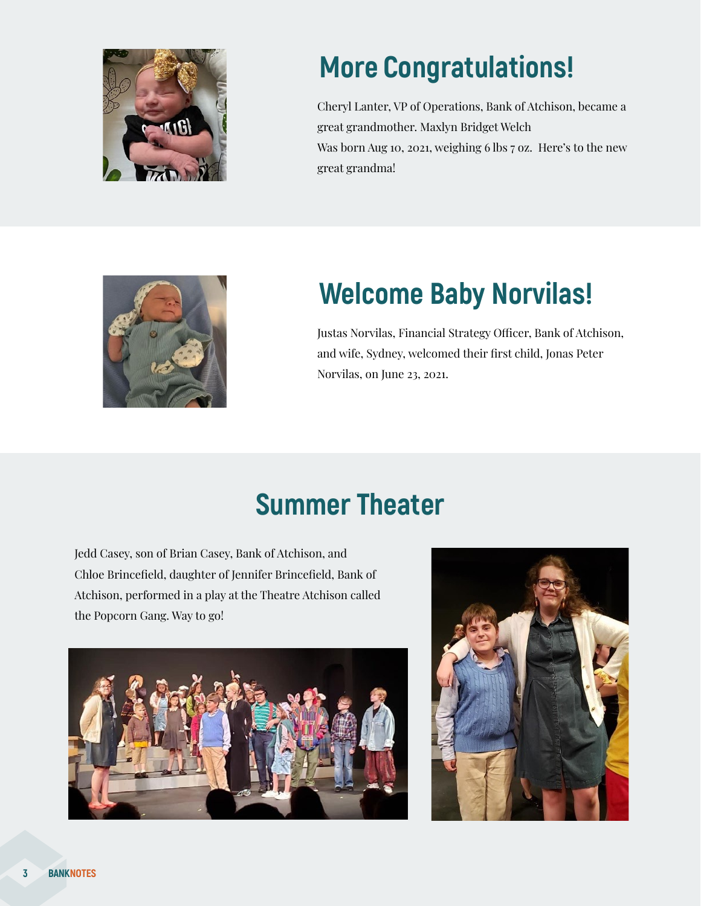

## **More Congratulations!**

Cheryl Lanter, VP of Operations, Bank of Atchison, became a great grandmother. Maxlyn Bridget Welch Was born Aug 10, 2021, weighing 6 lbs 7 oz. Here's to the new great grandma!



## **Welcome Baby Norvilas!**

Justas Norvilas, Financial Strategy Officer, Bank of Atchison, and wife, Sydney, welcomed their first child, Jonas Peter Norvilas, on June 23, 2021.

## **Summer Theater**

Jedd Casey, son of Brian Casey, Bank of Atchison, and Chloe Brincefield, daughter of Jennifer Brincefield, Bank of Atchison, performed in a play at the Theatre Atchison called the Popcorn Gang. Way to go!



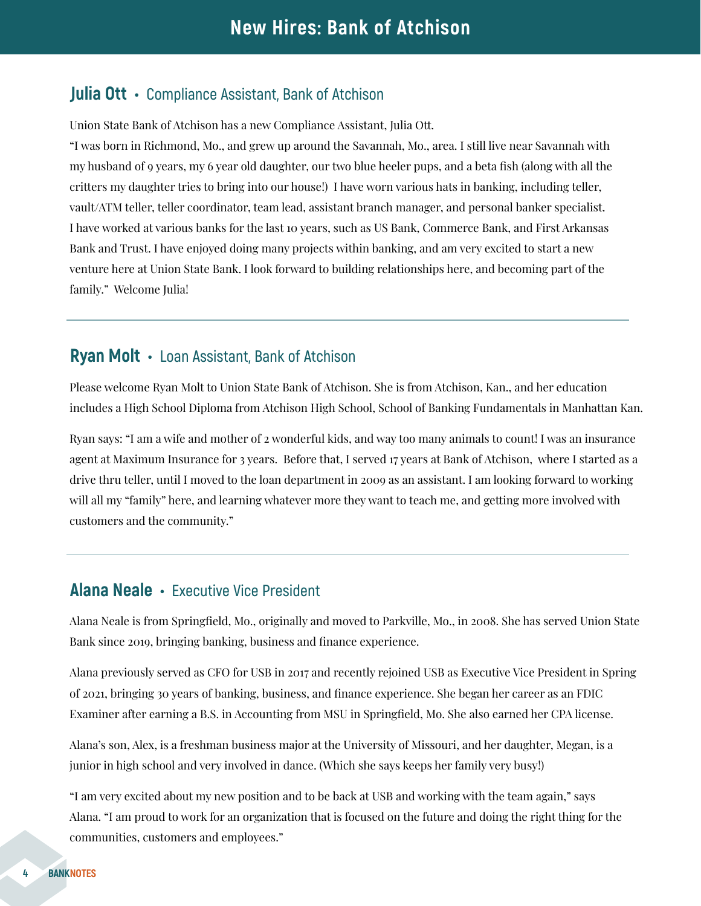#### **Julia Ott • Compliance Assistant, Bank of Atchison**

Union State Bank of Atchison has a new Compliance Assistant, Julia Ott.

"I was born in Richmond, Mo., and grew up around the Savannah, Mo., area. I still live near Savannah with my husband of 9 years, my 6 year old daughter, our two blue heeler pups, and a beta fish (along with all the critters my daughter tries to bring into our house!) I have worn various hats in banking, including teller, vault/ATM teller, teller coordinator, team lead, assistant branch manager, and personal banker specialist. I have worked at various banks for the last 10 years, such as US Bank, Commerce Bank, and First Arkansas Bank and Trust. I have enjoyed doing many projects within banking, and am very excited to start a new venture here at Union State Bank. I look forward to building relationships here, and becoming part of the family." Welcome Julia!

#### **Ryan Molt • Loan Assistant, Bank of Atchison**

Please welcome Ryan Molt to Union State Bank of Atchison. She is from Atchison, Kan., and her education includes a High School Diploma from Atchison High School, School of Banking Fundamentals in Manhattan Kan.

Ryan says: "I am a wife and mother of 2 wonderful kids, and way too many animals to count! I was an insurance agent at Maximum Insurance for 3 years. Before that, I served 17 years at Bank of Atchison, where I started as a drive thru teller, until I moved to the loan department in 2009 as an assistant. I am looking forward to working will all my "family" here, and learning whatever more they want to teach me, and getting more involved with customers and the community."

#### **Alana Neale • Executive Vice President**

Alana Neale is from Springfield, Mo., originally and moved to Parkville, Mo., in 2008. She has served Union State Bank since 2019, bringing banking, business and finance experience.

Alana previously served as CFO for USB in 2017 and recently rejoined USB as Executive Vice President in Spring of 2021, bringing 30 years of banking, business, and finance experience. She began her career as an FDIC Examiner after earning a B.S. in Accounting from MSU in Springfield, Mo. She also earned her CPA license.

Alana's son, Alex, is a freshman business major at the University of Missouri, and her daughter, Megan, is a junior in high school and very involved in dance. (Which she says keeps her family very busy!)

"I am very excited about my new position and to be back at USB and working with the team again," says Alana. "I am proud to work for an organization that is focused on the future and doing the right thing for the communities, customers and employees."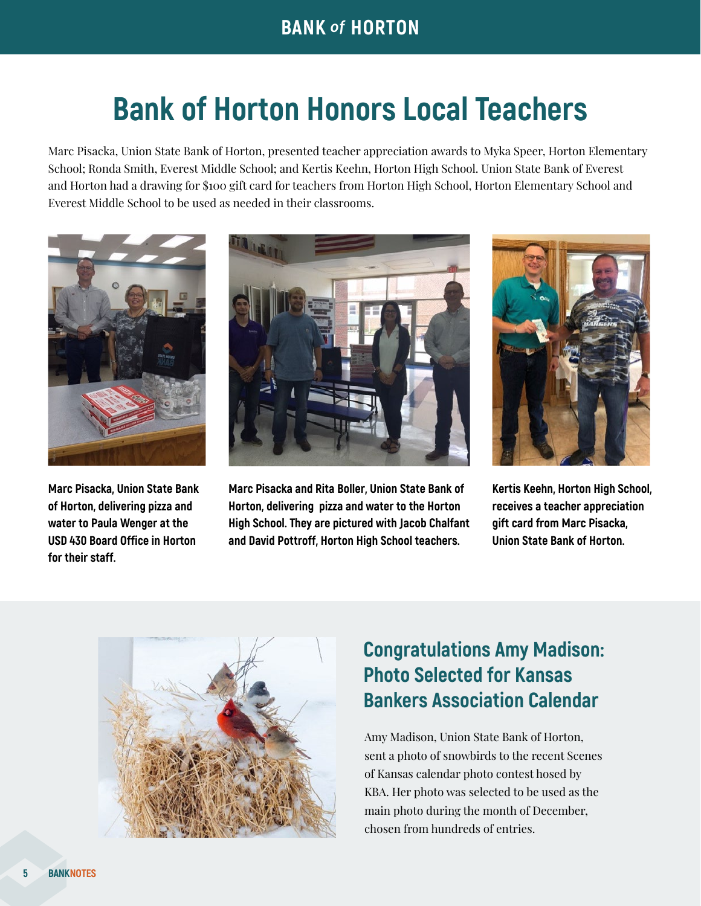## **Bank of Horton Honors Local Teachers**

Marc Pisacka, Union State Bank of Horton, presented teacher appreciation awards to Myka Speer, Horton Elementary School; Ronda Smith, Everest Middle School; and Kertis Keehn, Horton High School. Union State Bank of Everest and Horton had a drawing for \$100 gift card for teachers from Horton High School, Horton Elementary School and Everest Middle School to be used as needed in their classrooms.



**Marc Pisacka, Union State Bank of Horton, delivering pizza and water to Paula Wenger at the USD 430 Board Office in Horton for their staff.**



**Marc Pisacka and Rita Boller, Union State Bank of Horton, delivering pizza and water to the Horton High School. They are pictured with Jacob Chalfant and David Pottroff, Horton High School teachers.**



**Kertis Keehn, Horton High School, receives a teacher appreciation gift card from Marc Pisacka, Union State Bank of Horton.**



### **Congratulations Amy Madison: Photo Selected for Kansas Bankers Association Calendar**

Amy Madison, Union State Bank of Horton, sent a photo of snowbirds to the recent Scenes of Kansas calendar photo contest hosed by KBA. Her photo was selected to be used as the main photo during the month of December, chosen from hundreds of entries.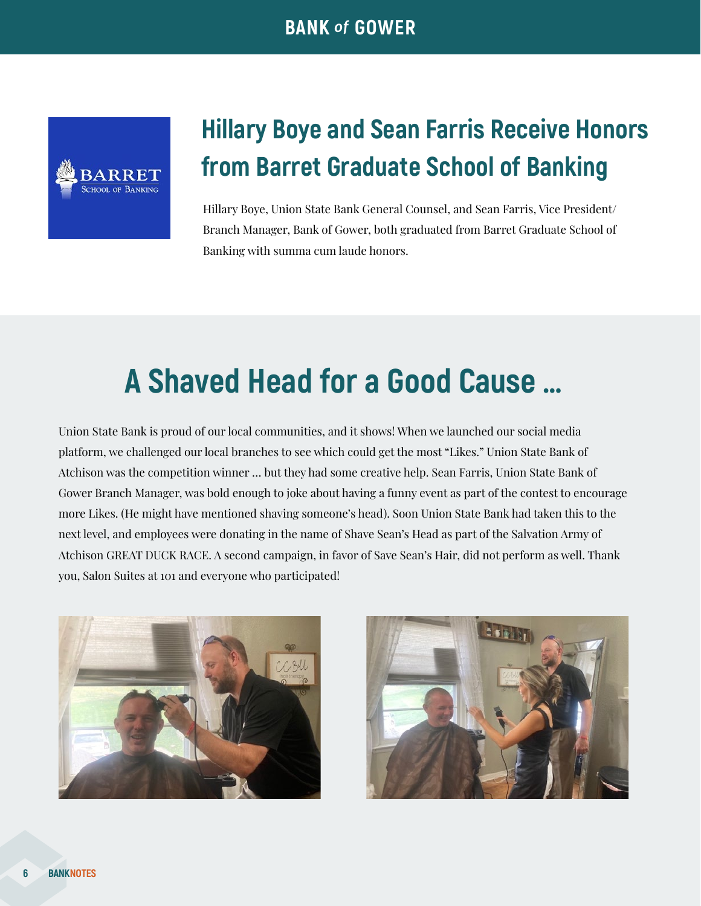

### **Hillary Boye and Sean Farris Receive Honors from Barret Graduate School of Banking**

Hillary Boye, Union State Bank General Counsel, and Sean Farris, Vice President/ Branch Manager, Bank of Gower, both graduated from Barret Graduate School of Banking with summa cum laude honors.

## **A Shaved Head for a Good Cause …**

Union State Bank is proud of our local communities, and it shows! When we launched our social media platform, we challenged our local branches to see which could get the most "Likes." Union State Bank of Atchison was the competition winner … but they had some creative help. Sean Farris, Union State Bank of Gower Branch Manager, was bold enough to joke about having a funny event as part of the contest to encourage more Likes. (He might have mentioned shaving someone's head). Soon Union State Bank had taken this to the next level, and employees were donating in the name of Shave Sean's Head as part of the Salvation Army of Atchison GREAT DUCK RACE. A second campaign, in favor of Save Sean's Hair, did not perform as well. Thank you, Salon Suites at 101 and everyone who participated!